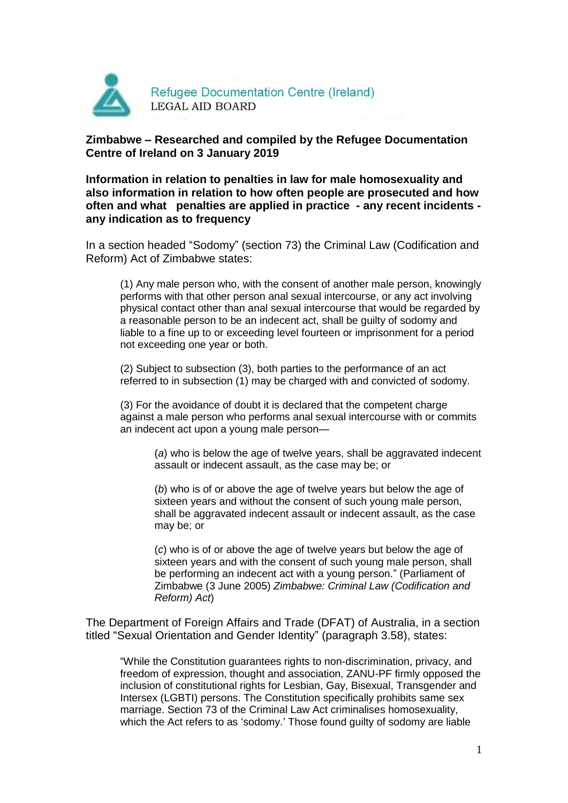

# **Zimbabwe – Researched and compiled by the Refugee Documentation Centre of Ireland on 3 January 2019**

**Information in relation to penalties in law for male homosexuality and also information in relation to how often people are prosecuted and how often and what penalties are applied in practice - any recent incidents any indication as to frequency**

In a section headed "Sodomy" (section 73) the Criminal Law (Codification and Reform) Act of Zimbabwe states:

(1) Any male person who, with the consent of another male person, knowingly performs with that other person anal sexual intercourse, or any act involving physical contact other than anal sexual intercourse that would be regarded by a reasonable person to be an indecent act, shall be guilty of sodomy and liable to a fine up to or exceeding level fourteen or imprisonment for a period not exceeding one year or both.

(2) Subject to subsection (3), both parties to the performance of an act referred to in subsection (1) may be charged with and convicted of sodomy.

(3) For the avoidance of doubt it is declared that the competent charge against a male person who performs anal sexual intercourse with or commits an indecent act upon a young male person—

(*a*) who is below the age of twelve years, shall be aggravated indecent assault or indecent assault, as the case may be; or

(*b*) who is of or above the age of twelve years but below the age of sixteen years and without the consent of such young male person, shall be aggravated indecent assault or indecent assault, as the case may be; or

(*c*) who is of or above the age of twelve years but below the age of sixteen years and with the consent of such young male person, shall be performing an indecent act with a young person." (Parliament of Zimbabwe (3 June 2005) *Zimbabwe: Criminal Law (Codification and Reform) Act*)

The Department of Foreign Affairs and Trade (DFAT) of Australia, in a section titled "Sexual Orientation and Gender Identity" (paragraph 3.58), states:

"While the Constitution guarantees rights to non-discrimination, privacy, and freedom of expression, thought and association, ZANU-PF firmly opposed the inclusion of constitutional rights for Lesbian, Gay, Bisexual, Transgender and Intersex (LGBTI) persons. The Constitution specifically prohibits same sex marriage. Section 73 of the Criminal Law Act criminalises homosexuality, which the Act refers to as 'sodomy.' Those found guilty of sodomy are liable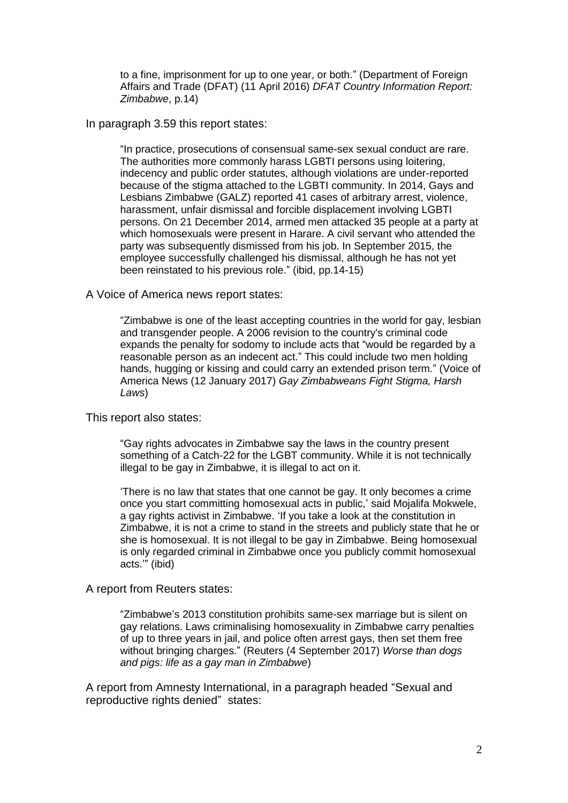to a fine, imprisonment for up to one year, or both." (Department of Foreign Affairs and Trade (DFAT) (11 April 2016) *DFAT Country Information Report: Zimbabwe*, p.14)

## In paragraph 3.59 this report states:

"In practice, prosecutions of consensual same-sex sexual conduct are rare. The authorities more commonly harass LGBTI persons using loitering, indecency and public order statutes, although violations are under-reported because of the stigma attached to the LGBTI community. In 2014, Gays and Lesbians Zimbabwe (GALZ) reported 41 cases of arbitrary arrest, violence, harassment, unfair dismissal and forcible displacement involving LGBTI persons. On 21 December 2014, armed men attacked 35 people at a party at which homosexuals were present in Harare. A civil servant who attended the party was subsequently dismissed from his job. In September 2015, the employee successfully challenged his dismissal, although he has not yet been reinstated to his previous role." (ibid, pp.14-15)

### A Voice of America news report states:

"Zimbabwe is one of the least accepting countries in the world for gay, lesbian and transgender people. A 2006 revision to the country's criminal code expands the penalty for sodomy to include acts that "would be regarded by a reasonable person as an indecent act." This could include two men holding hands, hugging or kissing and could carry an extended prison term." (Voice of America News (12 January 2017) *Gay Zimbabweans Fight Stigma, Harsh Laws*)

### This report also states:

"Gay rights advocates in Zimbabwe say the laws in the country present something of a Catch-22 for the LGBT community. While it is not technically illegal to be gay in Zimbabwe, it is illegal to act on it.

'There is no law that states that one cannot be gay. It only becomes a crime once you start committing homosexual acts in public,' said Mojalifa Mokwele, a gay rights activist in Zimbabwe. 'If you take a look at the constitution in Zimbabwe, it is not a crime to stand in the streets and publicly state that he or she is homosexual. It is not illegal to be gay in Zimbabwe. Being homosexual is only regarded criminal in Zimbabwe once you publicly commit homosexual acts.'" (ibid)

### A report from Reuters states:

"Zimbabwe's 2013 constitution prohibits same-sex marriage but is silent on gay relations. Laws criminalising homosexuality in Zimbabwe carry penalties of up to three years in jail, and police often arrest gays, then set them free without bringing charges." (Reuters (4 September 2017) *Worse than dogs and pigs: life as a gay man in Zimbabwe*)

A report from Amnesty International, in a paragraph headed "Sexual and reproductive rights denied" states: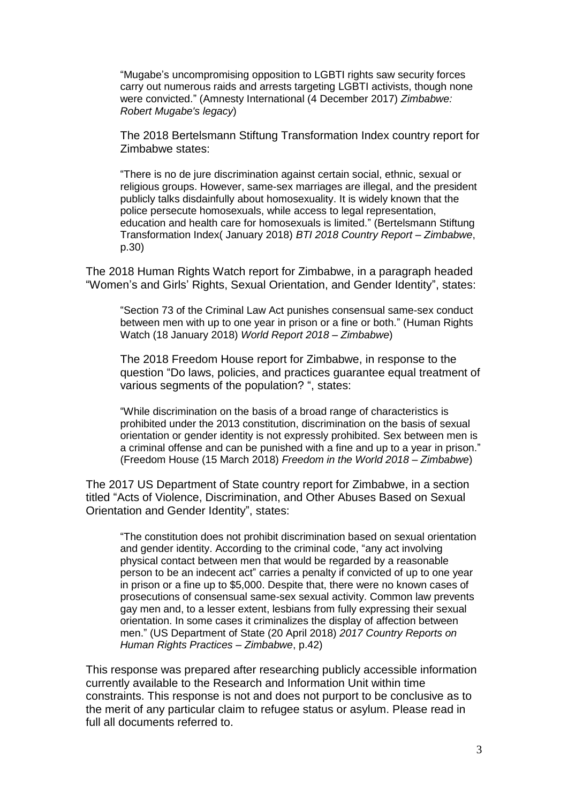"Mugabe's uncompromising opposition to LGBTI rights saw security forces carry out numerous raids and arrests targeting LGBTI activists, though none were convicted." (Amnesty International (4 December 2017) *Zimbabwe: Robert Mugabe's legacy*)

The 2018 Bertelsmann Stiftung Transformation Index country report for Zimbabwe states:

"There is no de jure discrimination against certain social, ethnic, sexual or religious groups. However, same-sex marriages are illegal, and the president publicly talks disdainfully about homosexuality. It is widely known that the police persecute homosexuals, while access to legal representation, education and health care for homosexuals is limited." (Bertelsmann Stiftung Transformation Index( January 2018) *BTI 2018 Country Report – Zimbabwe*, p.30)

The 2018 Human Rights Watch report for Zimbabwe, in a paragraph headed "Women's and Girls' Rights, Sexual Orientation, and Gender Identity", states:

"Section 73 of the Criminal Law Act punishes consensual same-sex conduct between men with up to one year in prison or a fine or both." (Human Rights Watch (18 January 2018) *World Report 2018 – Zimbabwe*)

The 2018 Freedom House report for Zimbabwe, in response to the question "Do laws, policies, and practices guarantee equal treatment of various segments of the population? ", states:

"While discrimination on the basis of a broad range of characteristics is prohibited under the 2013 constitution, discrimination on the basis of sexual orientation or gender identity is not expressly prohibited. Sex between men is a criminal offense and can be punished with a fine and up to a year in prison." (Freedom House (15 March 2018) *Freedom in the World 2018 – Zimbabwe*)

The 2017 US Department of State country report for Zimbabwe, in a section titled "Acts of Violence, Discrimination, and Other Abuses Based on Sexual Orientation and Gender Identity", states:

"The constitution does not prohibit discrimination based on sexual orientation and gender identity. According to the criminal code, "any act involving physical contact between men that would be regarded by a reasonable person to be an indecent act" carries a penalty if convicted of up to one year in prison or a fine up to \$5,000. Despite that, there were no known cases of prosecutions of consensual same-sex sexual activity. Common law prevents gay men and, to a lesser extent, lesbians from fully expressing their sexual orientation. In some cases it criminalizes the display of affection between men." (US Department of State (20 April 2018) *2017 Country Reports on Human Rights Practices – Zimbabwe*, p.42)

This response was prepared after researching publicly accessible information currently available to the Research and Information Unit within time constraints. This response is not and does not purport to be conclusive as to the merit of any particular claim to refugee status or asylum. Please read in full all documents referred to.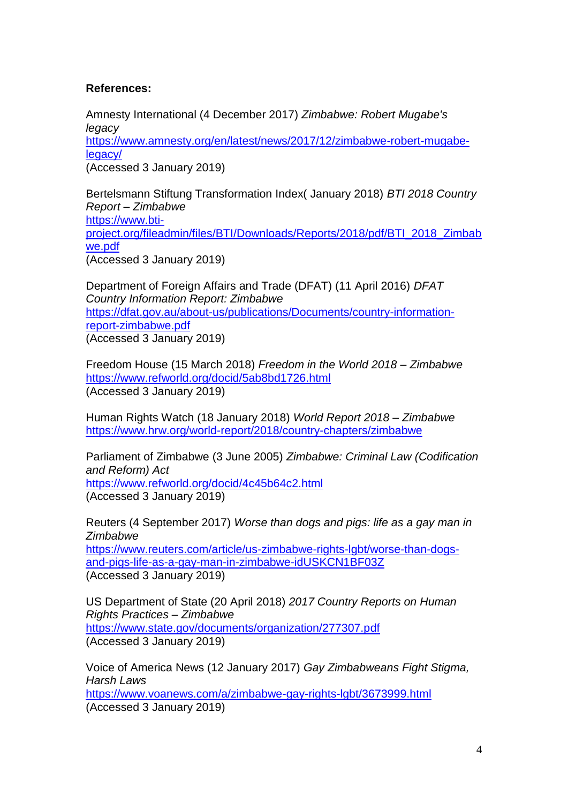# **References:**

Amnesty International (4 December 2017) *Zimbabwe: Robert Mugabe's legacy* [https://www.amnesty.org/en/latest/news/2017/12/zimbabwe-robert-mugabe](https://www.amnesty.org/en/latest/news/2017/12/zimbabwe-robert-mugabe-legacy/)[legacy/](https://www.amnesty.org/en/latest/news/2017/12/zimbabwe-robert-mugabe-legacy/) (Accessed 3 January 2019)

Bertelsmann Stiftung Transformation Index( January 2018) *BTI 2018 Country Report – Zimbabwe* [https://www.bti](https://www.bti-project.org/fileadmin/files/BTI/Downloads/Reports/2018/pdf/BTI_2018_Zimbabwe.pdf)[project.org/fileadmin/files/BTI/Downloads/Reports/2018/pdf/BTI\\_2018\\_Zimbab](https://www.bti-project.org/fileadmin/files/BTI/Downloads/Reports/2018/pdf/BTI_2018_Zimbabwe.pdf) [we.pdf](https://www.bti-project.org/fileadmin/files/BTI/Downloads/Reports/2018/pdf/BTI_2018_Zimbabwe.pdf) (Accessed 3 January 2019)

Department of Foreign Affairs and Trade (DFAT) (11 April 2016) *DFAT Country Information Report: Zimbabwe* [https://dfat.gov.au/about-us/publications/Documents/country-information](https://dfat.gov.au/about-us/publications/Documents/country-information-report-zimbabwe.pdf)[report-zimbabwe.pdf](https://dfat.gov.au/about-us/publications/Documents/country-information-report-zimbabwe.pdf) (Accessed 3 January 2019)

Freedom House (15 March 2018) *Freedom in the World 2018 – Zimbabwe* <https://www.refworld.org/docid/5ab8bd1726.html> (Accessed 3 January 2019)

Human Rights Watch (18 January 2018) *World Report 2018 – Zimbabwe* <https://www.hrw.org/world-report/2018/country-chapters/zimbabwe>

Parliament of Zimbabwe (3 June 2005) *Zimbabwe: Criminal Law (Codification and Reform) Act* <https://www.refworld.org/docid/4c45b64c2.html> (Accessed 3 January 2019)

Reuters (4 September 2017) *Worse than dogs and pigs: life as a gay man in Zimbabwe*

[https://www.reuters.com/article/us-zimbabwe-rights-lgbt/worse-than-dogs](https://www.reuters.com/article/us-zimbabwe-rights-lgbt/worse-than-dogs-and-pigs-life-as-a-gay-man-in-zimbabwe-idUSKCN1BF03Z)[and-pigs-life-as-a-gay-man-in-zimbabwe-idUSKCN1BF03Z](https://www.reuters.com/article/us-zimbabwe-rights-lgbt/worse-than-dogs-and-pigs-life-as-a-gay-man-in-zimbabwe-idUSKCN1BF03Z) (Accessed 3 January 2019)

US Department of State (20 April 2018) *2017 Country Reports on Human Rights Practices – Zimbabwe* <https://www.state.gov/documents/organization/277307.pdf> (Accessed 3 January 2019)

Voice of America News (12 January 2017) *Gay Zimbabweans Fight Stigma, Harsh Laws* <https://www.voanews.com/a/zimbabwe-gay-rights-lgbt/3673999.html> (Accessed 3 January 2019)